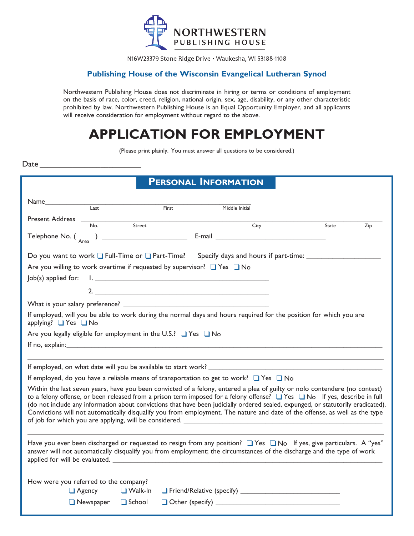

N16W23379 Stone Ridge Drive · Waukesha, WI 53188-1108

#### **Publishing House of the Wisconsin Evangelical Lutheran Synod**

Northwestern Publishing House does not discriminate in hiring or terms or conditions of employment on the basis of race, color, creed, religion, national origin, sex, age, disability, or any other characteristic prohibited by law. Northwestern Publishing House is an Equal Opportunity Employer, and all applicants will receive consideration for employment without regard to the above.

# **APPLlCATlON FOR EMPLOYMENT**

(Please print plainly. You must answer all questions to be considered.)

Date

| PERSONAL INFORMATION                                                                                                                                                                                                                                                                                                                                                                                                                                                                                                                  |  |  |  |
|---------------------------------------------------------------------------------------------------------------------------------------------------------------------------------------------------------------------------------------------------------------------------------------------------------------------------------------------------------------------------------------------------------------------------------------------------------------------------------------------------------------------------------------|--|--|--|
| Name and the second second second second second second second second second second second second second second second second second second second second second second second second second second second second second second                                                                                                                                                                                                                                                                                                        |  |  |  |
| Last<br>First<br>Middle Initial                                                                                                                                                                                                                                                                                                                                                                                                                                                                                                       |  |  |  |
| Present Address _<br>$\frac{1}{\text{Street}}$<br>$\overline{\mathsf{No}}$ .                                                                                                                                                                                                                                                                                                                                                                                                                                                          |  |  |  |
| City<br>State<br>Zip                                                                                                                                                                                                                                                                                                                                                                                                                                                                                                                  |  |  |  |
| Telephone No. $\begin{pmatrix} 1 & 0 & 0 \\ 0 & 1 & 0 \\ 0 & 0 & 0 \end{pmatrix}$ E-mail                                                                                                                                                                                                                                                                                                                                                                                                                                              |  |  |  |
| Do you want to work $\Box$ Full-Time or $\Box$ Part-Time? Specify days and hours if part-time:                                                                                                                                                                                                                                                                                                                                                                                                                                        |  |  |  |
| Are you willing to work overtime if requested by supervisor? $\Box$ Yes $\Box$ No                                                                                                                                                                                                                                                                                                                                                                                                                                                     |  |  |  |
| Job(s) applied for:<br><u> La provincia de la contrada de la contrada de la contrada de la contrada de la contrada de la contrada de la </u>                                                                                                                                                                                                                                                                                                                                                                                          |  |  |  |
|                                                                                                                                                                                                                                                                                                                                                                                                                                                                                                                                       |  |  |  |
|                                                                                                                                                                                                                                                                                                                                                                                                                                                                                                                                       |  |  |  |
|                                                                                                                                                                                                                                                                                                                                                                                                                                                                                                                                       |  |  |  |
| If employed, will you be able to work during the normal days and hours required for the position for which you are<br>applying? ■ Yes ■ No                                                                                                                                                                                                                                                                                                                                                                                            |  |  |  |
| Are you legally eligible for employment in the U.S.? ■ Yes ■ No                                                                                                                                                                                                                                                                                                                                                                                                                                                                       |  |  |  |
|                                                                                                                                                                                                                                                                                                                                                                                                                                                                                                                                       |  |  |  |
|                                                                                                                                                                                                                                                                                                                                                                                                                                                                                                                                       |  |  |  |
|                                                                                                                                                                                                                                                                                                                                                                                                                                                                                                                                       |  |  |  |
| If employed, do you have a reliable means of transportation to get to work? $\Box$ Yes $\Box$ No                                                                                                                                                                                                                                                                                                                                                                                                                                      |  |  |  |
| Within the last seven years, have you been convicted of a felony, entered a plea of guilty or nolo contendere (no contest)<br>to a felony offense, or been released from a prison term imposed for a felony offense? $\Box$ Yes $\Box$ No If yes, describe in full<br>(do not include any information about convictions that have been judicially ordered sealed, expunged, or statutorily eradicated).<br>Convictions will not automatically disqualify you from employment. The nature and date of the offense, as well as the type |  |  |  |
| Have you ever been discharged or requested to resign from any position? $\Box$ Yes $\Box$ No If yes, give particulars. A "yes"<br>answer will not automatically disqualify you from employment; the circumstances of the discharge and the type of work<br>applied for will be evaluated.                                                                                                                                                                                                                                             |  |  |  |
| How were you referred to the company?                                                                                                                                                                                                                                                                                                                                                                                                                                                                                                 |  |  |  |
| $\Box$ Agency<br>$\Box$ Walk-In                                                                                                                                                                                                                                                                                                                                                                                                                                                                                                       |  |  |  |
| $\Box$ Newspaper<br>$\Box$ School                                                                                                                                                                                                                                                                                                                                                                                                                                                                                                     |  |  |  |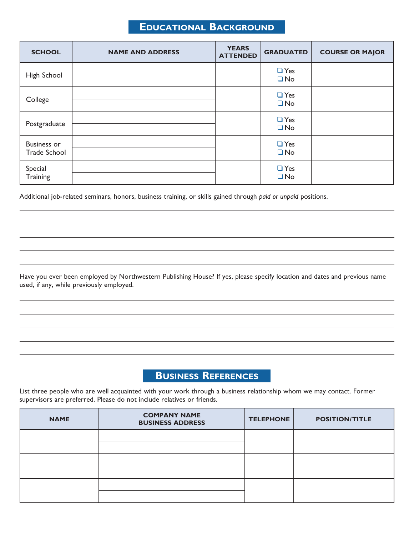#### **Educational Background**

| <b>SCHOOL</b>                             | <b>NAME AND ADDRESS</b> | <b>YEARS</b><br><b>ATTENDED</b> | <b>GRADUATED</b>        | <b>COURSE OR MAJOR</b> |
|-------------------------------------------|-------------------------|---------------------------------|-------------------------|------------------------|
| High School                               |                         |                                 | $\Box$ Yes<br>$\Box$ No |                        |
| College                                   |                         |                                 | $\Box$ Yes<br>$\Box$ No |                        |
| Postgraduate                              |                         |                                 | $\Box$ Yes<br>$\Box$ No |                        |
| <b>Business or</b><br><b>Trade School</b> |                         |                                 | $\Box$ Yes<br>$\Box$ No |                        |
| Special<br>Training                       |                         |                                 | $\Box$ Yes<br>$\Box$ No |                        |

Additional job-related seminars, honors, business training, or skills gained through *paid or unpaid* positions.

Have you ever been employed by Northwestern Publishing House? If yes, please specify location and dates and previous name used, if any, while previously employed.

#### **Business References**

List three people who are well acquainted with your work through a business relationship whom we may contact. Former supervisors are preferred. Please do not include relatives or friends.

| <b>NAME</b> | <b>COMPANY NAME</b><br><b>BUSINESS ADDRESS</b> | <b>TELEPHONE</b> | <b>POSITION/TITLE</b> |
|-------------|------------------------------------------------|------------------|-----------------------|
|             |                                                |                  |                       |
|             |                                                |                  |                       |
|             |                                                |                  |                       |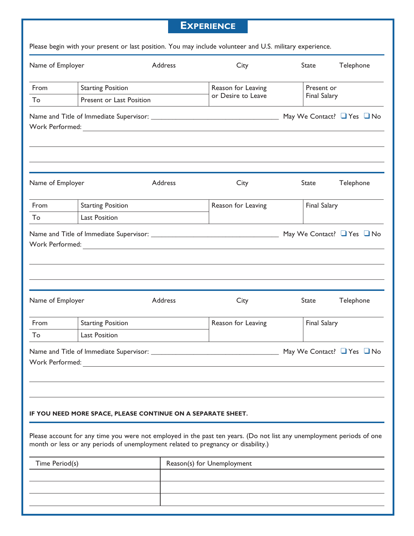### **Experience**

|  |  | Please begin with your present or last position. You may include volunteer and U.S. military experience. |  |
|--|--|----------------------------------------------------------------------------------------------------------|--|
|--|--|----------------------------------------------------------------------------------------------------------|--|

| Name of Employer                             |                                                                                                                                                                                       | Address | City               | <b>State</b>        | Telephone                            |
|----------------------------------------------|---------------------------------------------------------------------------------------------------------------------------------------------------------------------------------------|---------|--------------------|---------------------|--------------------------------------|
| From                                         | <b>Starting Position</b>                                                                                                                                                              |         | Reason for Leaving | Present or          |                                      |
| To                                           | Present or Last Position                                                                                                                                                              |         | or Desire to Leave | <b>Final Salary</b> |                                      |
|                                              |                                                                                                                                                                                       |         |                    |                     | May We Contact? $\Box$ Yes $\Box$ No |
|                                              |                                                                                                                                                                                       |         |                    |                     |                                      |
| Name of Employer                             |                                                                                                                                                                                       | Address | City               | State               | Telephone                            |
| From                                         | <b>Starting Position</b>                                                                                                                                                              |         | Reason for Leaving | <b>Final Salary</b> |                                      |
| To                                           | <b>Last Position</b>                                                                                                                                                                  |         |                    |                     |                                      |
|                                              |                                                                                                                                                                                       |         |                    |                     |                                      |
| Name of Employer                             |                                                                                                                                                                                       | Address | City               | State               | Telephone                            |
| From                                         | <b>Starting Position</b>                                                                                                                                                              |         | Reason for Leaving | <b>Final Salary</b> |                                      |
| To                                           | <b>Last Position</b>                                                                                                                                                                  |         |                    |                     |                                      |
| Work Performed:                              |                                                                                                                                                                                       |         |                    |                     | May We Contact? $\Box$ Yes $\Box$ No |
|                                              | IF YOU NEED MORE SPACE, PLEASE CONTINUE ON A SEPARATE SHEET.<br>Please account for any time you were not employed in the past ten years. (Do not list any unemployment periods of one |         |                    |                     |                                      |
|                                              | month or less or any periods of unemployment related to pregnancy or disability.)                                                                                                     |         |                    |                     |                                      |
| Time Period(s)<br>Reason(s) for Unemployment |                                                                                                                                                                                       |         |                    |                     |                                      |

| Time Period(s) | Reason(s) for Unemployment |
|----------------|----------------------------|
|                |                            |
|                |                            |
|                |                            |
|                |                            |